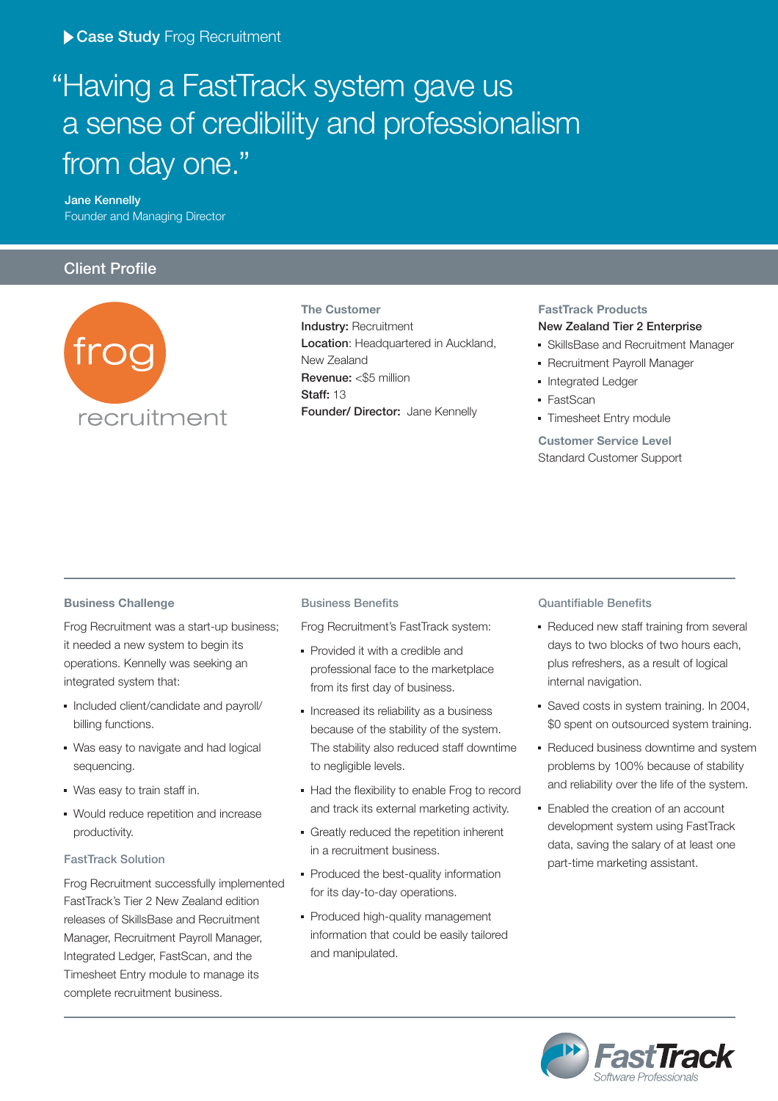# " Having a FastTrack system gave us a sense of credibility and professionalism from day one."

 **Jane Kennelly** Founder and Managing Director

### **Client Profile**



**The Customer Industry:** Recruitment **Location**: Headquartered in Auckland, New Zealand **Revenue:** <\$5 million **Staff:** 13 **Founder/ Director:** Jane Kennelly

#### **FastTrack Products New Zealand Tier 2 Enterprise**

- SkillsBase and Recruitment Manager
- Recruitment Payroll Manager
- Integrated Ledger
- FastScan
- **Timesheet Entry module**

**Customer Service Level** Standard Customer Support

#### **Business Challenge**

Frog Recruitment was a start-up business; it needed a new system to begin its operations. Kennelly was seeking an integrated system that:

- Included client/candidate and payroll/ billing functions.
- Was easy to navigate and had logical sequencing.
- Was easy to train staff in.
- Would reduce repetition and increase productivity.

#### **FastTrack Solution**

Frog Recruitment successfully implemented FastTrack's Tier 2 New Zealand edition releases of SkillsBase and Recruitment Manager, Recruitment Payroll Manager, Integrated Ledger, FastScan, and the Timesheet Entry module to manage its complete recruitment business.

#### **Business Benefits**

Frog Recruitment's FastTrack system:

- Provided it with a credible and professional face to the marketplace from its first day of business.
- **Increased its reliability as a business** because of the stability of the system. The stability also reduced staff downtime to negligible levels.
- Had the flexibility to enable Frog to record and track its external marketing activity.
- Greatly reduced the repetition inherent in a recruitment business.
- Produced the best-quality information for its day-to-day operations.
- Produced high-quality management information that could be easily tailored and manipulated.

#### **Quantifiable Benefits**

- Reduced new staff training from several days to two blocks of two hours each, plus refreshers, as a result of logical internal navigation.
- Saved costs in system training. In 2004, \$0 spent on outsourced system training.
- Reduced business downtime and system problems by 100% because of stability and reliability over the life of the system.
- Enabled the creation of an account development system using FastTrack data, saving the salary of at least one part-time marketing assistant.